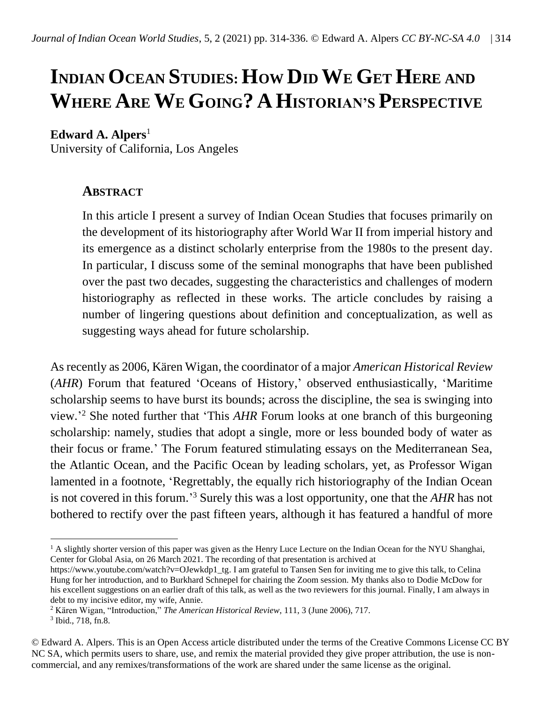# **INDIAN OCEAN STUDIES: HOW DID WE GET HERE AND WHERE ARE WE GOING? AHISTORIAN'S PERSPECTIVE**

#### Edward A. Alpers<sup>1</sup>

University of California, Los Angeles

## **ABSTRACT**

In this article I present a survey of Indian Ocean Studies that focuses primarily on the development of its historiography after World War II from imperial history and its emergence as a distinct scholarly enterprise from the 1980s to the present day. In particular, I discuss some of the seminal monographs that have been published over the past two decades, suggesting the characteristics and challenges of modern historiography as reflected in these works. The article concludes by raising a number of lingering questions about definition and conceptualization, as well as suggesting ways ahead for future scholarship.

As recently as 2006, Kären Wigan, the coordinator of a major *American Historical Review* (*AHR*) Forum that featured 'Oceans of History,' observed enthusiastically, 'Maritime scholarship seems to have burst its bounds; across the discipline, the sea is swinging into view.' <sup>2</sup> She noted further that 'This *AHR* Forum looks at one branch of this burgeoning scholarship: namely, studies that adopt a single, more or less bounded body of water as their focus or frame.' The Forum featured stimulating essays on the Mediterranean Sea, the Atlantic Ocean, and the Pacific Ocean by leading scholars, yet, as Professor Wigan lamented in a footnote, 'Regrettably, the equally rich historiography of the Indian Ocean is not covered in this forum.' <sup>3</sup> Surely this was a lost opportunity, one that the *AHR* has not bothered to rectify over the past fifteen years, although it has featured a handful of more

 $<sup>1</sup>$  A slightly shorter version of this paper was given as the Henry Luce Lecture on the Indian Ocean for the NYU Shanghai,</sup> Center for Global Asia, on 26 March 2021. The recording of that presentation is archived at

[https://www.youtube.com/watch?v=OJewkdp1\\_tg.](https://www.youtube.com/watch?v=OJewkdp1_tg) I am grateful to Tansen Sen for inviting me to give this talk, to Celina Hung for her introduction, and to Burkhard Schnepel for chairing the Zoom session. My thanks also to Dodie McDow for his excellent suggestions on an earlier draft of this talk, as well as the two reviewers for this journal. Finally, I am always in debt to my incisive editor, my wife, Annie.

<sup>2</sup> Kären Wigan, "Introduction," *The American Historical Review*, 111, 3 (June 2006), 717.

<sup>3</sup> Ibid., 718, fn.8.

<sup>©</sup> Edward A. Alpers. This is an Open Access article distributed under the terms of the Creative Commons License CC BY NC SA, which permits users to share, use, and remix the material provided they give proper attribution, the use is noncommercial, and any remixes/transformations of the work are shared under the same license as the original.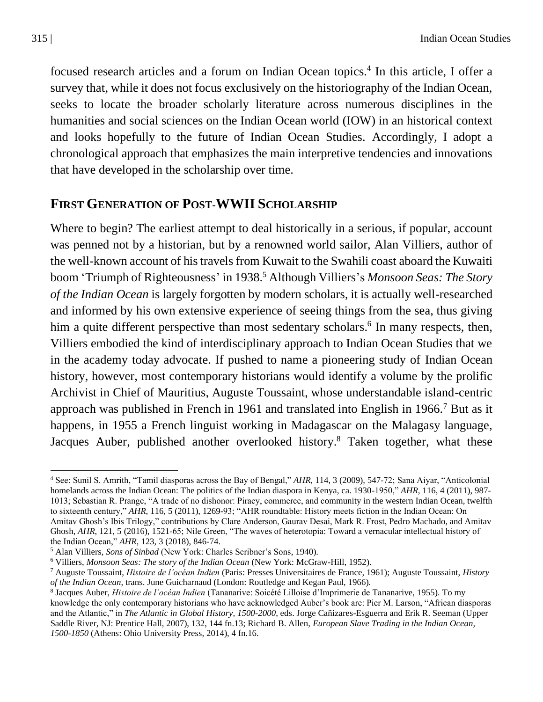focused research articles and a forum on Indian Ocean topics.<sup>4</sup> In this article, I offer a survey that, while it does not focus exclusively on the historiography of the Indian Ocean, seeks to locate the broader scholarly literature across numerous disciplines in the humanities and social sciences on the Indian Ocean world (IOW) in an historical context and looks hopefully to the future of Indian Ocean Studies. Accordingly, I adopt a chronological approach that emphasizes the main interpretive tendencies and innovations that have developed in the scholarship over time.

### **FIRST GENERATION OF POST-WWII SCHOLARSHIP**

Where to begin? The earliest attempt to deal historically in a serious, if popular, account was penned not by a historian, but by a renowned world sailor, Alan Villiers, author of the well-known account of his travels from Kuwait to the Swahili coast aboard the Kuwaiti boom 'Triumph of Righteousness' in 1938. <sup>5</sup> Although Villiers's *Monsoon Seas: The Story of the Indian Ocean* is largely forgotten by modern scholars, it is actually well-researched and informed by his own extensive experience of seeing things from the sea, thus giving him a quite different perspective than most sedentary scholars.<sup>6</sup> In many respects, then, Villiers embodied the kind of interdisciplinary approach to Indian Ocean Studies that we in the academy today advocate. If pushed to name a pioneering study of Indian Ocean history, however, most contemporary historians would identify a volume by the prolific Archivist in Chief of Mauritius, Auguste Toussaint, whose understandable island-centric approach was published in French in 1961 and translated into English in 1966.<sup>7</sup> But as it happens, in 1955 a French linguist working in Madagascar on the Malagasy language, Jacques Auber, published another overlooked history.<sup>8</sup> Taken together, what these

<sup>4</sup> See: Sunil S. Amrith, "Tamil diasporas across the Bay of Bengal," *AHR*, 114, 3 (2009), 547-72; Sana Aiyar, "Anticolonial homelands across the Indian Ocean: The politics of the Indian diaspora in Kenya, ca. 1930-1950," *AHR*, 116, 4 (2011), 987- 1013; Sebastian R. Prange, "A trade of no dishonor: Piracy, commerce, and community in the western Indian Ocean, twelfth to sixteenth century," *AHR*, 116, 5 (2011), 1269-93; "AHR roundtable: History meets fiction in the Indian Ocean: On Amitav Ghosh's Ibis Trilogy," contributions by Clare Anderson, Gaurav Desai, Mark R. Frost, Pedro Machado, and Amitav Ghosh, *AHR*, 121, 5 (2016), 1521-65; Nile Green, "The waves of heterotopia: Toward a vernacular intellectual history of the Indian Ocean," *AHR*, 123, 3 (2018), 846-74.

<sup>5</sup> Alan Villiers, *Sons of Sinbad* (New York: Charles Scribner's Sons, 1940).

<sup>6</sup> Villiers, *Monsoon Seas: The story of the Indian Ocean* (New York: McGraw-Hill, 1952).

<sup>7</sup> Auguste Toussaint, *Histoire de l'océan Indien* (Paris: Presses Universitaires de France, 1961); Auguste Toussaint, *History of the Indian Ocean*, trans. June Guicharnaud (London: Routledge and Kegan Paul, 1966).

<sup>8</sup> Jacques Auber, *Histoire de l'océan Indien* (Tananarive: Soicété Lilloise d'Imprimerie de Tananarive, 1955). To my knowledge the only contemporary historians who have acknowledged Auber's book are: Pier M. Larson, "African diasporas and the Atlantic," in *The Atlantic in Global History, 1500-2000*, eds. Jorge Cañizares-Esguerra and Erik R. Seeman (Upper Saddle River, NJ: Prentice Hall, 2007), 132, 144 fn.13; Richard B. Allen, *European Slave Trading in the Indian Ocean, 1500-1850* (Athens: Ohio University Press, 2014), 4 fn.16.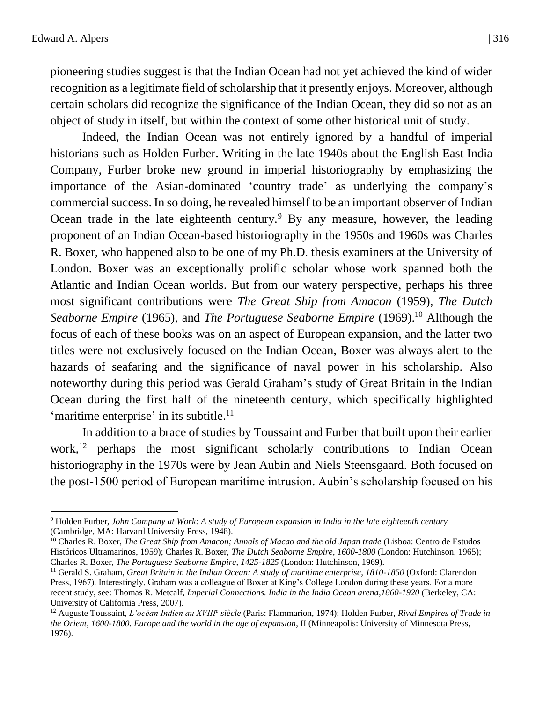pioneering studies suggest is that the Indian Ocean had not yet achieved the kind of wider recognition as a legitimate field of scholarship that it presently enjoys. Moreover, although certain scholars did recognize the significance of the Indian Ocean, they did so not as an object of study in itself, but within the context of some other historical unit of study.

Indeed, the Indian Ocean was not entirely ignored by a handful of imperial historians such as Holden Furber. Writing in the late 1940s about the English East India Company, Furber broke new ground in imperial historiography by emphasizing the importance of the Asian-dominated 'country trade' as underlying the company's commercial success. In so doing, he revealed himself to be an important observer of Indian Ocean trade in the late eighteenth century.<sup>9</sup> By any measure, however, the leading proponent of an Indian Ocean-based historiography in the 1950s and 1960s was Charles R. Boxer, who happened also to be one of my Ph.D. thesis examiners at the University of London. Boxer was an exceptionally prolific scholar whose work spanned both the Atlantic and Indian Ocean worlds. But from our watery perspective, perhaps his three most significant contributions were *The Great Ship from Amacon* (1959), *The Dutch Seaborne Empire* (1965), and *The Portuguese Seaborne Empire* (1969).<sup>10</sup> Although the focus of each of these books was on an aspect of European expansion, and the latter two titles were not exclusively focused on the Indian Ocean, Boxer was always alert to the hazards of seafaring and the significance of naval power in his scholarship. Also noteworthy during this period was Gerald Graham's study of Great Britain in the Indian Ocean during the first half of the nineteenth century, which specifically highlighted 'maritime enterprise' in its subtitle. $11$ 

In addition to a brace of studies by Toussaint and Furber that built upon their earlier work,<sup>12</sup> perhaps the most significant scholarly contributions to Indian Ocean historiography in the 1970s were by Jean Aubin and Niels Steensgaard. Both focused on the post-1500 period of European maritime intrusion. Aubin's scholarship focused on his

<sup>9</sup> Holden Furber, *John Company at Work: A study of European expansion in India in the late eighteenth century* (Cambridge, MA: Harvard University Press, 1948).

<sup>&</sup>lt;sup>10</sup> Charles R. Boxer, *The Great Ship from Amacon; Annals of Macao and the old Japan trade* (Lisboa: Centro de Estudos Históricos Ultramarinos, 1959); Charles R. Boxer, *The Dutch Seaborne Empire, 1600-1800* (London: Hutchinson, 1965); Charles R. Boxer, *The Portuguese Seaborne Empire, 1425-1825* (London: Hutchinson, 1969).

<sup>11</sup> Gerald S. Graham, *Great Britain in the Indian Ocean: A study of maritime enterprise, 1810-1850* (Oxford: Clarendon Press, 1967). Interestingly, Graham was a colleague of Boxer at King's College London during these years. For a more recent study, see: Thomas R. Metcalf, *Imperial Connections. India in the India Ocean arena,1860-1920* (Berkeley, CA: University of California Press, 2007).

<sup>12</sup> Auguste Toussaint, *L'océan Indien au XVIII<sup>e</sup> siècle* (Paris: Flammarion, 1974); Holden Furber, *Rival Empires of Trade in the Orient, 1600-1800. Europe and the world in the age of expansion*, II (Minneapolis: University of Minnesota Press, 1976).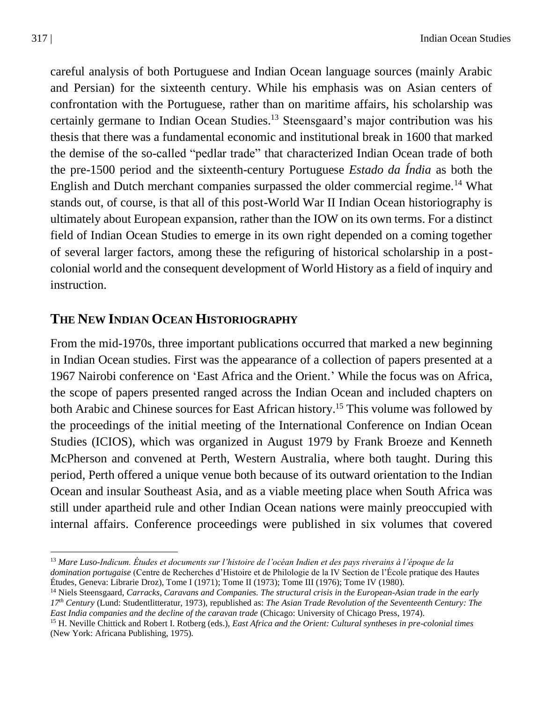careful analysis of both Portuguese and Indian Ocean language sources (mainly Arabic and Persian) for the sixteenth century. While his emphasis was on Asian centers of confrontation with the Portuguese, rather than on maritime affairs, his scholarship was certainly germane to Indian Ocean Studies.<sup>13</sup> Steensgaard's major contribution was his thesis that there was a fundamental economic and institutional break in 1600 that marked the demise of the so-called "pedlar trade" that characterized Indian Ocean trade of both the pre-1500 period and the sixteenth-century Portuguese *Estado da Índia* as both the English and Dutch merchant companies surpassed the older commercial regime.<sup>14</sup> What stands out, of course, is that all of this post-World War II Indian Ocean historiography is ultimately about European expansion, rather than the IOW on its own terms. For a distinct field of Indian Ocean Studies to emerge in its own right depended on a coming together of several larger factors, among these the refiguring of historical scholarship in a postcolonial world and the consequent development of World History as a field of inquiry and instruction.

## **THE NEW INDIAN OCEAN HISTORIOGRAPHY**

From the mid-1970s, three important publications occurred that marked a new beginning in Indian Ocean studies. First was the appearance of a collection of papers presented at a 1967 Nairobi conference on 'East Africa and the Orient.' While the focus was on Africa, the scope of papers presented ranged across the Indian Ocean and included chapters on both Arabic and Chinese sources for East African history.<sup>15</sup> This volume was followed by the proceedings of the initial meeting of the International Conference on Indian Ocean Studies (ICIOS), which was organized in August 1979 by Frank Broeze and Kenneth McPherson and convened at Perth, Western Australia, where both taught. During this period, Perth offered a unique venue both because of its outward orientation to the Indian Ocean and insular Southeast Asia, and as a viable meeting place when South Africa was still under apartheid rule and other Indian Ocean nations were mainly preoccupied with internal affairs. Conference proceedings were published in six volumes that covered

<sup>13</sup> *Mare Luso-Indicum. Études et documents sur l'histoire de l'océan Indien et des pays riverains à l'époque de la domination portugaise* (Centre de Recherches d'Histoire et de Philologie de la IV Section de l'École pratique des Hautes Études, Geneva: Librarie Droz), Tome I (1971); Tome II (1973); Tome III (1976); Tome IV (1980).

<sup>14</sup> Niels Steensgaard, *Carracks, Caravans and Companies. The structural crisis in the European-Asian trade in the early 17th Century* (Lund: Studentlitteratur, 1973), republished as: *The Asian Trade Revolution of the Seventeenth Century: The East India companies and the decline of the caravan trade* (Chicago: University of Chicago Press, 1974).

<sup>15</sup> H. Neville Chittick and Robert I. Rotberg (eds.), *East Africa and the Orient: Cultural syntheses in pre-colonial times* (New York: Africana Publishing, 1975).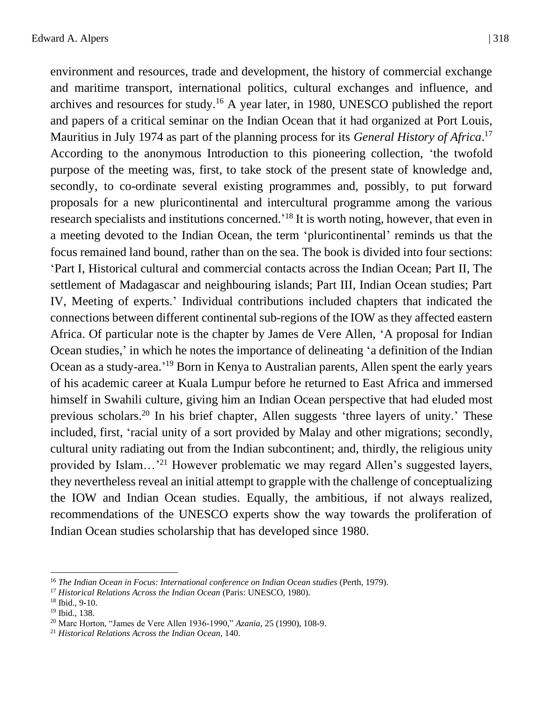environment and resources, trade and development, the history of commercial exchange and maritime transport, international politics, cultural exchanges and influence, and archives and resources for study.<sup>16</sup> A year later, in 1980, UNESCO published the report and papers of a critical seminar on the Indian Ocean that it had organized at Port Louis, Mauritius in July 1974 as part of the planning process for its *General History of Africa*. 17 According to the anonymous Introduction to this pioneering collection, 'the twofold purpose of the meeting was, first, to take stock of the present state of knowledge and, secondly, to co-ordinate several existing programmes and, possibly, to put forward proposals for a new pluricontinental and intercultural programme among the various research specialists and institutions concerned.<sup>18</sup> It is worth noting, however, that even in a meeting devoted to the Indian Ocean, the term 'pluricontinental' reminds us that the focus remained land bound, rather than on the sea. The book is divided into four sections: 'Part I, Historical cultural and commercial contacts across the Indian Ocean; Part II, The settlement of Madagascar and neighbouring islands; Part III, Indian Ocean studies; Part IV, Meeting of experts.' Individual contributions included chapters that indicated the connections between different continental sub-regions of the IOW as they affected eastern Africa. Of particular note is the chapter by James de Vere Allen, 'A proposal for Indian Ocean studies,' in which he notes the importance of delineating 'a definition of the Indian Ocean as a study-area.<sup>'19</sup> Born in Kenya to Australian parents, Allen spent the early years of his academic career at Kuala Lumpur before he returned to East Africa and immersed himself in Swahili culture, giving him an Indian Ocean perspective that had eluded most previous scholars.<sup>20</sup> In his brief chapter, Allen suggests 'three layers of unity.' These included, first, 'racial unity of a sort provided by Malay and other migrations; secondly, cultural unity radiating out from the Indian subcontinent; and, thirdly, the religious unity provided by Islam...<sup>'21</sup> However problematic we may regard Allen's suggested layers, they nevertheless reveal an initial attempt to grapple with the challenge of conceptualizing the IOW and Indian Ocean studies. Equally, the ambitious, if not always realized, recommendations of the UNESCO experts show the way towards the proliferation of Indian Ocean studies scholarship that has developed since 1980.

<sup>16</sup> *The Indian Ocean in Focus: International conference on Indian Ocean studies* (Perth, 1979).

<sup>17</sup> *Historical Relations Across the Indian Ocean* (Paris: UNESCO, 1980).

<sup>18</sup> Ibid., 9-10.

<sup>19</sup> Ibid., 138.

<sup>20</sup> Marc Horton, "James de Vere Allen 1936-1990," *Azania*, 25 (1990), 108-9.

<sup>21</sup> *Historical Relations Across the Indian Ocean*, 140.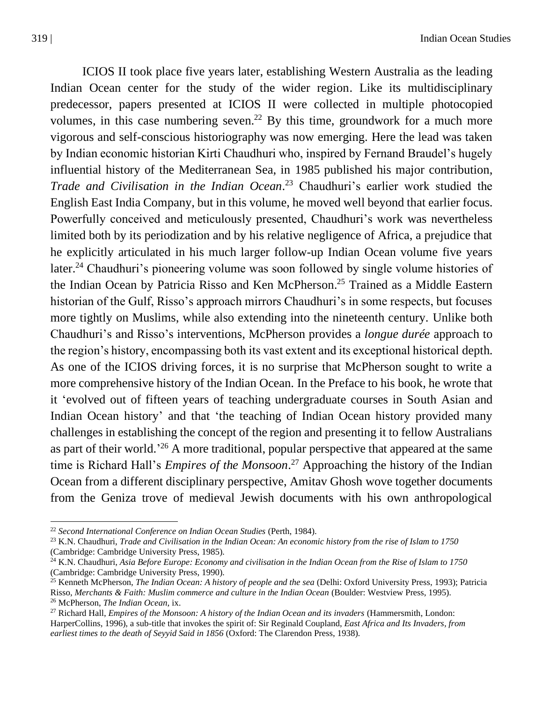ICIOS II took place five years later, establishing Western Australia as the leading Indian Ocean center for the study of the wider region. Like its multidisciplinary predecessor, papers presented at ICIOS II were collected in multiple photocopied volumes, in this case numbering seven.<sup>22</sup> By this time, groundwork for a much more vigorous and self-conscious historiography was now emerging. Here the lead was taken by Indian economic historian Kirti Chaudhuri who, inspired by Fernand Braudel's hugely influential history of the Mediterranean Sea, in 1985 published his major contribution, *Trade and Civilisation in the Indian Ocean*. <sup>23</sup> Chaudhuri's earlier work studied the English East India Company, but in this volume, he moved well beyond that earlier focus. Powerfully conceived and meticulously presented, Chaudhuri's work was nevertheless limited both by its periodization and by his relative negligence of Africa, a prejudice that he explicitly articulated in his much larger follow-up Indian Ocean volume five years later.<sup>24</sup> Chaudhuri's pioneering volume was soon followed by single volume histories of the Indian Ocean by Patricia Risso and Ken McPherson. <sup>25</sup> Trained as a Middle Eastern historian of the Gulf, Risso's approach mirrors Chaudhuri's in some respects, but focuses more tightly on Muslims, while also extending into the nineteenth century. Unlike both Chaudhuri's and Risso's interventions, McPherson provides a *longue durée* approach to the region's history, encompassing both its vast extent and its exceptional historical depth. As one of the ICIOS driving forces, it is no surprise that McPherson sought to write a more comprehensive history of the Indian Ocean. In the Preface to his book, he wrote that it 'evolved out of fifteen years of teaching undergraduate courses in South Asian and Indian Ocean history' and that 'the teaching of Indian Ocean history provided many challenges in establishing the concept of the region and presenting it to fellow Australians as part of their world.<sup>'26</sup> A more traditional, popular perspective that appeared at the same time is Richard Hall's *Empires of the Monsoon*. <sup>27</sup> Approaching the history of the Indian Ocean from a different disciplinary perspective, Amitav Ghosh wove together documents from the Geniza trove of medieval Jewish documents with his own anthropological

<sup>22</sup> *Second International Conference on Indian Ocean Studies* (Perth, 1984).

<sup>23</sup> K.N. Chaudhuri, *Trade and Civilisation in the Indian Ocean: An economic history from the rise of Islam to 1750* (Cambridge: Cambridge University Press, 1985).

<sup>24</sup> K.N. Chaudhuri, *Asia Before Europe: Economy and civilisation in the Indian Ocean from the Rise of Islam to 1750* (Cambridge: Cambridge University Press, 1990).

<sup>25</sup> Kenneth McPherson, *The Indian Ocean: A history of people and the sea* (Delhi: Oxford University Press, 1993); Patricia Risso, *Merchants & Faith: Muslim commerce and culture in the Indian Ocean* (Boulder: Westview Press, 1995). <sup>26</sup> McPherson, *The Indian Ocean*, ix.

<sup>27</sup> Richard Hall, *Empires of the Monsoon: A history of the Indian Ocean and its invaders* (Hammersmith, London: HarperCollins, 1996), a sub-title that invokes the spirit of: Sir Reginald Coupland, *East Africa and Its Invaders, from earliest times to the death of Seyyid Said in 1856* (Oxford: The Clarendon Press, 1938).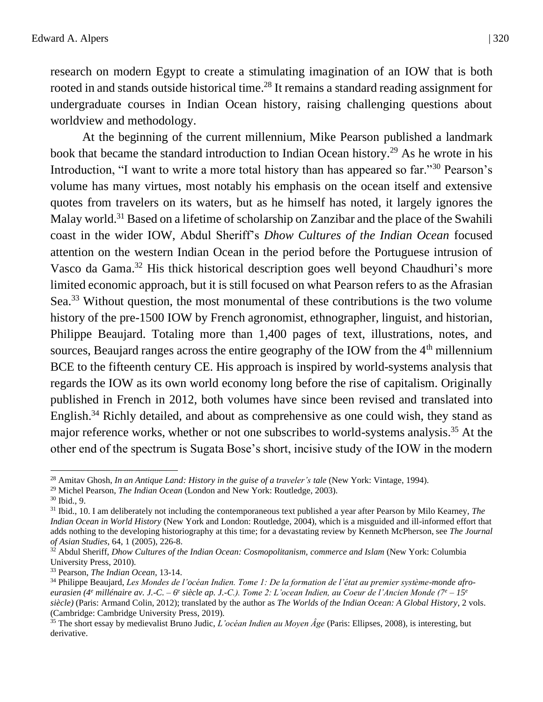research on modern Egypt to create a stimulating imagination of an IOW that is both rooted in and stands outside historical time.<sup>28</sup> It remains a standard reading assignment for undergraduate courses in Indian Ocean history, raising challenging questions about worldview and methodology.

At the beginning of the current millennium, Mike Pearson published a landmark book that became the standard introduction to Indian Ocean history.<sup>29</sup> As he wrote in his Introduction, "I want to write a more total history than has appeared so far."<sup>30</sup> Pearson's volume has many virtues, most notably his emphasis on the ocean itself and extensive quotes from travelers on its waters, but as he himself has noted, it largely ignores the Malay world.<sup>31</sup> Based on a lifetime of scholarship on Zanzibar and the place of the Swahili coast in the wider IOW, Abdul Sheriff's *Dhow Cultures of the Indian Ocean* focused attention on the western Indian Ocean in the period before the Portuguese intrusion of Vasco da Gama.<sup>32</sup> His thick historical description goes well beyond Chaudhuri's more limited economic approach, but it is still focused on what Pearson refers to as the Afrasian Sea.<sup>33</sup> Without question, the most monumental of these contributions is the two volume history of the pre-1500 IOW by French agronomist, ethnographer, linguist, and historian, Philippe Beaujard. Totaling more than 1,400 pages of text, illustrations, notes, and sources, Beaujard ranges across the entire geography of the IOW from the  $4<sup>th</sup>$  millennium BCE to the fifteenth century CE. His approach is inspired by world-systems analysis that regards the IOW as its own world economy long before the rise of capitalism. Originally published in French in 2012, both volumes have since been revised and translated into English.<sup>34</sup> Richly detailed, and about as comprehensive as one could wish, they stand as major reference works, whether or not one subscribes to world-systems analysis.<sup>35</sup> At the other end of the spectrum is Sugata Bose's short, incisive study of the IOW in the modern

<sup>29</sup> Michel Pearson, *The Indian Ocean* (London and New York: Routledge, 2003).

 $30$  Ibid., 9.

<sup>&</sup>lt;sup>28</sup> Amitav Ghosh, *In an Antique Land: History in the guise of a traveler's tale* (New York: Vintage, 1994).

<sup>31</sup> Ibid., 10. I am deliberately not including the contemporaneous text published a year after Pearson by Milo Kearney, *The Indian Ocean in World History* (New York and London: Routledge, 2004), which is a misguided and ill-informed effort that adds nothing to the developing historiography at this time; for a devastating review by Kenneth McPherson, see *The Journal of Asian Studies*, 64, 1 (2005), 226-8.

<sup>&</sup>lt;sup>32</sup> Abdul Sheriff, *Dhow Cultures of the Indian Ocean: Cosmopolitanism, commerce and Islam* (New York: Columbia University Press, 2010).

<sup>33</sup> Pearson, *The Indian Ocean*, 13-14.

<sup>34</sup> Philippe Beaujard, *Les Mondes de l'océan Indien. Tome 1: De la formation de l'état au premier système-monde afroeurasien (4<sup>e</sup> millénaire av. J.-C. – 6 e siècle ap. J.-C.). Tome 2: L'ocean Indien, au Coeur de l'Ancien Monde (7<sup>e</sup> – 15<sup>e</sup> siècle)* (Paris: Armand Colin, 2012); translated by the author as *The Worlds of the Indian Ocean: A Global History*, 2 vols. (Cambridge: Cambridge University Press, 2019).

<sup>35</sup> The short essay by medievalist Bruno Judic, *L'océan Indien au Moyen Âge* (Paris: Ellipses, 2008), is interesting, but derivative.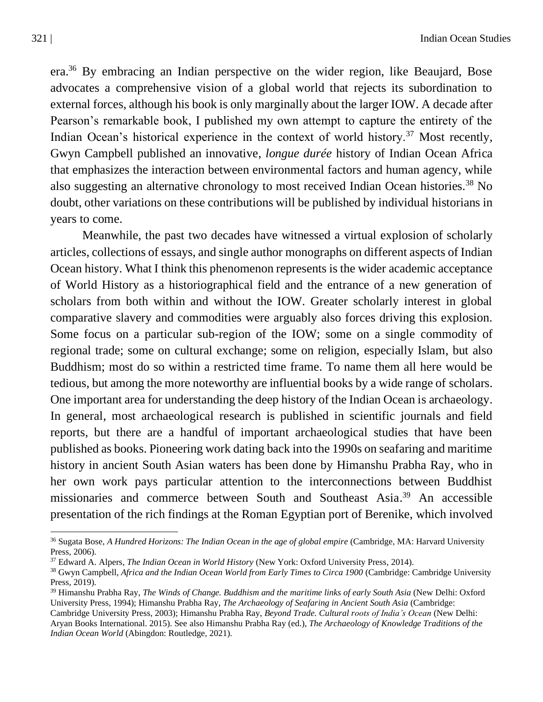era.<sup>36</sup> By embracing an Indian perspective on the wider region, like Beaujard, Bose advocates a comprehensive vision of a global world that rejects its subordination to external forces, although his book is only marginally about the larger IOW. A decade after Pearson's remarkable book, I published my own attempt to capture the entirety of the Indian Ocean's historical experience in the context of world history.<sup>37</sup> Most recently, Gwyn Campbell published an innovative, *longue durée* history of Indian Ocean Africa that emphasizes the interaction between environmental factors and human agency, while also suggesting an alternative chronology to most received Indian Ocean histories.<sup>38</sup> No doubt, other variations on these contributions will be published by individual historians in years to come.

Meanwhile, the past two decades have witnessed a virtual explosion of scholarly articles, collections of essays, and single author monographs on different aspects of Indian Ocean history. What I think this phenomenon represents is the wider academic acceptance of World History as a historiographical field and the entrance of a new generation of scholars from both within and without the IOW. Greater scholarly interest in global comparative slavery and commodities were arguably also forces driving this explosion. Some focus on a particular sub-region of the IOW; some on a single commodity of regional trade; some on cultural exchange; some on religion, especially Islam, but also Buddhism; most do so within a restricted time frame. To name them all here would be tedious, but among the more noteworthy are influential books by a wide range of scholars. One important area for understanding the deep history of the Indian Ocean is archaeology. In general, most archaeological research is published in scientific journals and field reports, but there are a handful of important archaeological studies that have been published as books. Pioneering work dating back into the 1990s on seafaring and maritime history in ancient South Asian waters has been done by Himanshu Prabha Ray, who in her own work pays particular attention to the interconnections between Buddhist missionaries and commerce between South and Southeast Asia. <sup>39</sup> An accessible presentation of the rich findings at the Roman Egyptian port of Berenike, which involved

<sup>36</sup> Sugata Bose, *A Hundred Horizons: The Indian Ocean in the age of global empire* (Cambridge, MA: Harvard University Press, 2006).

<sup>37</sup> Edward A. Alpers, *The Indian Ocean in World History* (New York: Oxford University Press, 2014).

<sup>38</sup> Gwyn Campbell, *Africa and the Indian Ocean World from Early Times to Circa 1900* (Cambridge: Cambridge University Press, 2019).

<sup>39</sup> Himanshu Prabha Ray, *The Winds of Change. Buddhism and the maritime links of early South Asia* (New Delhi: Oxford University Press, 1994); Himanshu Prabha Ray, *The Archaeology of Seafaring in Ancient South Asia* (Cambridge:

Cambridge University Press, 2003); Himanshu Prabha Ray, *Beyond Trade. Cultural roots of India's Ocean* (New Delhi: Aryan Books International. 2015). See also Himanshu Prabha Ray (ed.), *The Archaeology of Knowledge Traditions of the Indian Ocean World* (Abingdon: Routledge, 2021).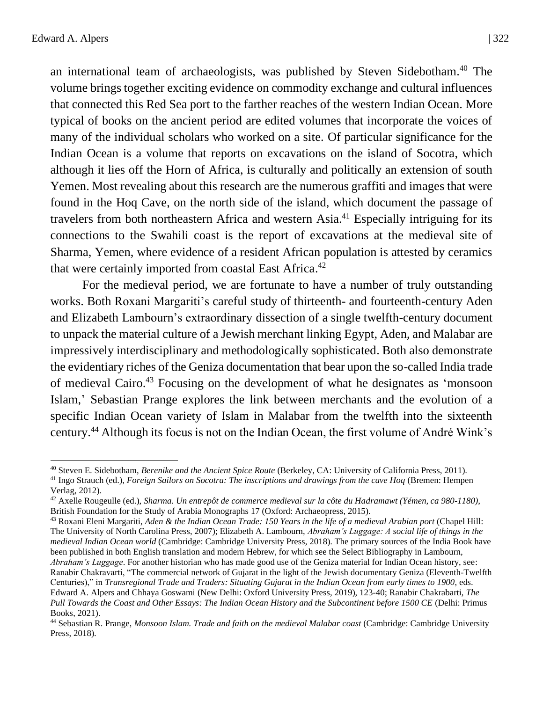an international team of archaeologists, was published by Steven Sidebotham.<sup>40</sup> The volume brings together exciting evidence on commodity exchange and cultural influences that connected this Red Sea port to the farther reaches of the western Indian Ocean. More typical of books on the ancient period are edited volumes that incorporate the voices of many of the individual scholars who worked on a site. Of particular significance for the Indian Ocean is a volume that reports on excavations on the island of Socotra, which although it lies off the Horn of Africa, is culturally and politically an extension of south Yemen. Most revealing about this research are the numerous graffiti and images that were found in the Hoq Cave, on the north side of the island, which document the passage of travelers from both northeastern Africa and western Asia.<sup>41</sup> Especially intriguing for its connections to the Swahili coast is the report of excavations at the medieval site of Sharma, Yemen, where evidence of a resident African population is attested by ceramics that were certainly imported from coastal East Africa.<sup>42</sup>

For the medieval period, we are fortunate to have a number of truly outstanding works. Both Roxani Margariti's careful study of thirteenth- and fourteenth-century Aden and Elizabeth Lambourn's extraordinary dissection of a single twelfth-century document to unpack the material culture of a Jewish merchant linking Egypt, Aden, and Malabar are impressively interdisciplinary and methodologically sophisticated. Both also demonstrate the evidentiary riches of the Geniza documentation that bear upon the so-called India trade of medieval Cairo.<sup>43</sup> Focusing on the development of what he designates as 'monsoon Islam,' Sebastian Prange explores the link between merchants and the evolution of a specific Indian Ocean variety of Islam in Malabar from the twelfth into the sixteenth century.<sup>44</sup> Although its focus is not on the Indian Ocean, the first volume of André Wink's

<sup>40</sup> Steven E. Sidebotham, *Berenike and the Ancient Spice Route* (Berkeley, CA: University of California Press, 2011).

<sup>41</sup> Ingo Strauch (ed.), *Foreign Sailors on Socotra: The inscriptions and drawings from the cave Hoq* (Bremen: Hempen Verlag, 2012).

<sup>42</sup> Axelle Rougeulle (ed.), *Sharma. Un entrepôt de commerce medieval sur la côte du Hadramawt (Yémen, ca 980-1180)*, British Foundation for the Study of Arabia Monographs 17 (Oxford: Archaeopress, 2015).

<sup>43</sup> Roxani Eleni Margariti, *Aden & the Indian Ocean Trade: 150 Years in the life of a medieval Arabian port* (Chapel Hill: The University of North Carolina Press, 2007); Elizabeth A. Lambourn, *Abraham's Luggage: A social life of things in the medieval Indian Ocean world* (Cambridge: Cambridge University Press, 2018). The primary sources of the India Book have been published in both English translation and modern Hebrew, for which see the Select Bibliography in Lambourn, *Abraham's Luggage*. For another historian who has made good use of the Geniza material for Indian Ocean history, see: Ranabir Chakravarti, "The commercial network of Gujarat in the light of the Jewish documentary Geniza (Eleventh-Twelfth Centuries)," in *Transregional Trade and Traders: Situating Gujarat in the Indian Ocean from early times to 1900*, eds. Edward A. Alpers and Chhaya Goswami (New Delhi: Oxford University Press, 2019), 123-40; Ranabir Chakrabarti, *The Pull Towards the Coast and Other Essays: The Indian Ocean History and the Subcontinent before 1500 CE* (Delhi: Primus Books, 2021).

<sup>44</sup> Sebastian R. Prange, *Monsoon Islam. Trade and faith on the medieval Malabar coast* (Cambridge: Cambridge University Press, 2018).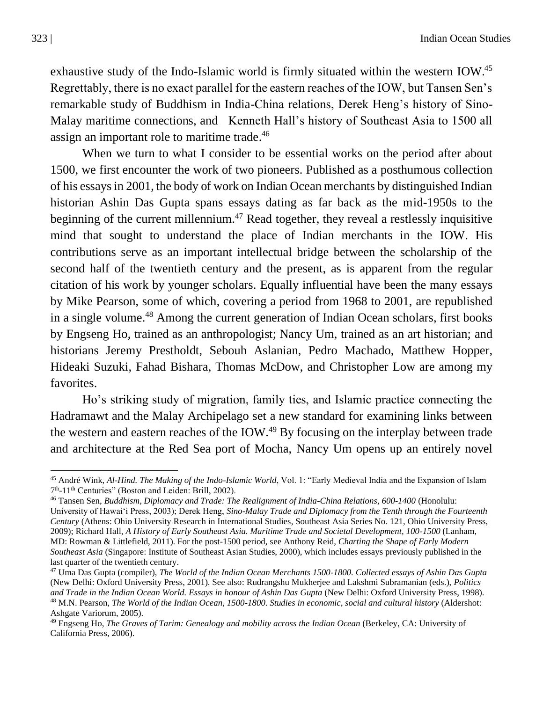exhaustive study of the Indo-Islamic world is firmly situated within the western IOW.<sup>45</sup> Regrettably, there is no exact parallel for the eastern reaches of the IOW, but Tansen Sen's remarkable study of Buddhism in India-China relations, Derek Heng's history of Sino-Malay maritime connections, and Kenneth Hall's history of Southeast Asia to 1500 all assign an important role to maritime trade. 46

When we turn to what I consider to be essential works on the period after about 1500, we first encounter the work of two pioneers. Published as a posthumous collection of his essays in 2001, the body of work on Indian Ocean merchants by distinguished Indian historian Ashin Das Gupta spans essays dating as far back as the mid-1950s to the beginning of the current millennium.<sup>47</sup> Read together, they reveal a restlessly inquisitive mind that sought to understand the place of Indian merchants in the IOW. His contributions serve as an important intellectual bridge between the scholarship of the second half of the twentieth century and the present, as is apparent from the regular citation of his work by younger scholars. Equally influential have been the many essays by Mike Pearson, some of which, covering a period from 1968 to 2001, are republished in a single volume.<sup>48</sup> Among the current generation of Indian Ocean scholars, first books by Engseng Ho, trained as an anthropologist; Nancy Um, trained as an art historian; and historians Jeremy Prestholdt, Sebouh Aslanian, Pedro Machado, Matthew Hopper, Hideaki Suzuki, Fahad Bishara, Thomas McDow, and Christopher Low are among my favorites.

Ho's striking study of migration, family ties, and Islamic practice connecting the Hadramawt and the Malay Archipelago set a new standard for examining links between the western and eastern reaches of the IOW.<sup>49</sup> By focusing on the interplay between trade and architecture at the Red Sea port of Mocha, Nancy Um opens up an entirely novel

<sup>45</sup> André Wink, *Al-Hind. The Making of the Indo-Islamic World*, Vol. 1: "Early Medieval India and the Expansion of Islam 7<sup>th</sup>-11<sup>th</sup> Centuries" (Boston and Leiden: Brill, 2002).

<sup>46</sup> Tansen Sen, *Buddhism, Diplomacy and Trade: The Realignment of India-China Relations, 600-1400* (Honolulu: University of Hawai'i Press, 2003); Derek Heng, *Sino-Malay Trade and Diplomacy from the Tenth through the Fourteenth Century* (Athens: Ohio University Research in International Studies, Southeast Asia Series No. 121, Ohio University Press, 2009); Richard Hall, *A History of Early Southeast Asia. Maritime Trade and Societal Development, 100-1500* (Lanham, MD: Rowman & Littlefield, 2011). For the post-1500 period, see Anthony Reid, *Charting the Shape of Early Modern Southeast Asia* (Singapore: Institute of Southeast Asian Studies, 2000), which includes essays previously published in the last quarter of the twentieth century.

<sup>47</sup> Uma Das Gupta (compiler), *The World of the Indian Ocean Merchants 1500-1800. Collected essays of Ashin Das Gupta* (New Delhi: Oxford University Press, 2001). See also: Rudrangshu Mukherjee and Lakshmi Subramanian (eds.), *Politics and Trade in the Indian Ocean World. Essays in honour of Ashin Das Gupta* (New Delhi: Oxford University Press, 1998). <sup>48</sup> M.N. Pearson, *The World of the Indian Ocean, 1500-1800. Studies in economic, social and cultural history* (Aldershot: Ashgate Variorum, 2005).

<sup>49</sup> Engseng Ho, *The Graves of Tarim: Genealogy and mobility across the Indian Ocean* (Berkeley, CA: University of California Press, 2006).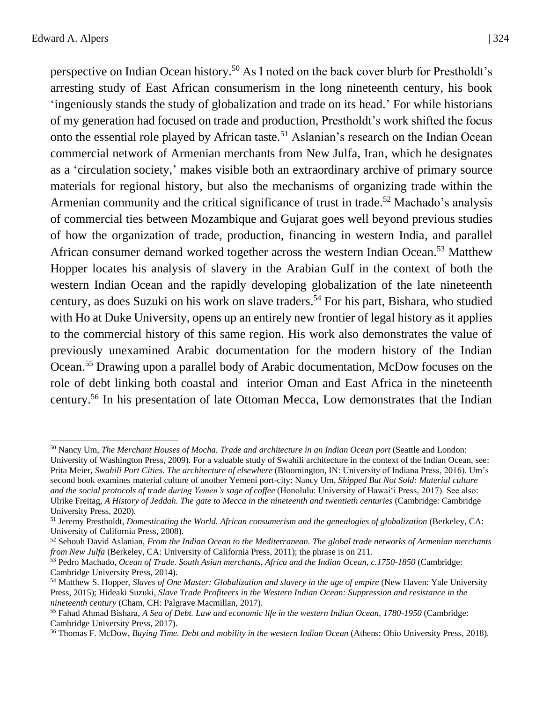perspective on Indian Ocean history.<sup>50</sup> As I noted on the back cover blurb for Prestholdt's arresting study of East African consumerism in the long nineteenth century, his book 'ingeniously stands the study of globalization and trade on its head.' For while historians of my generation had focused on trade and production, Prestholdt's work shifted the focus onto the essential role played by African taste.<sup>51</sup> Aslanian's research on the Indian Ocean commercial network of Armenian merchants from New Julfa, Iran, which he designates as a 'circulation society,' makes visible both an extraordinary archive of primary source materials for regional history, but also the mechanisms of organizing trade within the Armenian community and the critical significance of trust in trade.<sup>52</sup> Machado's analysis of commercial ties between Mozambique and Gujarat goes well beyond previous studies of how the organization of trade, production, financing in western India, and parallel African consumer demand worked together across the western Indian Ocean.<sup>53</sup> Matthew Hopper locates his analysis of slavery in the Arabian Gulf in the context of both the western Indian Ocean and the rapidly developing globalization of the late nineteenth century, as does Suzuki on his work on slave traders. <sup>54</sup> For his part, Bishara, who studied with Ho at Duke University, opens up an entirely new frontier of legal history as it applies to the commercial history of this same region. His work also demonstrates the value of previously unexamined Arabic documentation for the modern history of the Indian Ocean.<sup>55</sup> Drawing upon a parallel body of Arabic documentation, McDow focuses on the role of debt linking both coastal and interior Oman and East Africa in the nineteenth century.<sup>56</sup> In his presentation of late Ottoman Mecca, Low demonstrates that the Indian

<sup>50</sup> Nancy Um, *The Merchant Houses of Mocha. Trade and architecture in an Indian Ocean port* (Seattle and London: University of Washington Press, 2009). For a valuable study of Swahili architecture in the context of the Indian Ocean, see: Prita Meier, *Swahili Port Cities. The architecture of elsewhere* (Bloomington, IN: University of Indiana Press, 2016). Um's second book examines material culture of another Yemeni port-city: Nancy Um, *Shipped But Not Sold: Material culture* 

*and the social protocols of trade during Yemen's sage of coffee* (Honolulu: University of Hawai'i Press, 2017). See also: Ulrike Freitag, *A History of Jeddah. The gate to Mecca in the nineteenth and twentieth centuries* (Cambridge: Cambridge University Press, 2020).

<sup>51</sup> Jeremy Prestholdt, *Domesticating the World. African consumerism and the genealogies of globalization* (Berkeley, CA: University of California Press, 2008).

<sup>52</sup> Sebouh David Aslanian, *From the Indian Ocean to the Mediterranean. The global trade networks of Armenian merchants from New Julfa* (Berkeley, CA: University of California Press, 2011); the phrase is on 211.

<sup>53</sup> Pedro Machado, *Ocean of Trade. South Asian merchants, Africa and the Indian Ocean, c.1750-1850* (Cambridge: Cambridge University Press, 2014).

<sup>54</sup> Matthew S. Hopper, *Slaves of One Master: Globalization and slavery in the age of empire* (New Haven: Yale University Press, 2015); Hideaki Suzuki, *Slave Trade Profiteers in the Western Indian Ocean: Suppression and resistance in the nineteenth century* (Cham, CH: Palgrave Macmillan, 2017).

<sup>55</sup> Fahad Ahmad Bishara, *A Sea of Debt. Law and economic life in the western Indian Ocean, 1780-1950* (Cambridge: Cambridge University Press, 2017).

<sup>56</sup> Thomas F. McDow, *Buying Time. Debt and mobility in the western Indian Ocean* (Athens: Ohio University Press, 2018).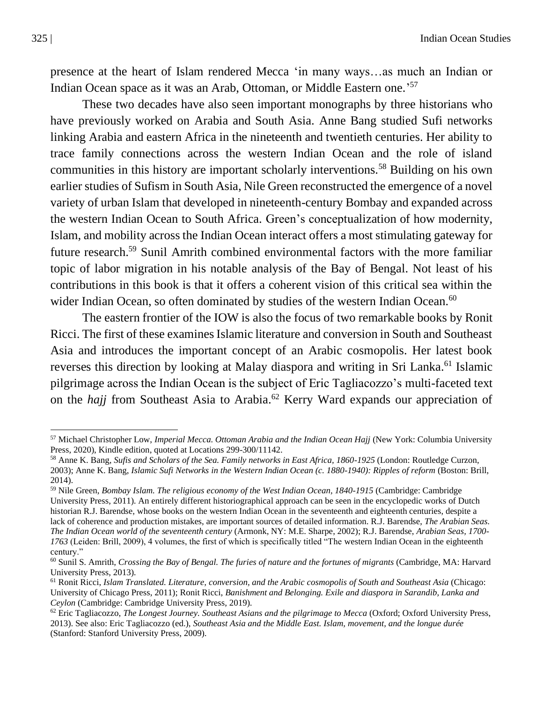presence at the heart of Islam rendered Mecca 'in many ways…as much an Indian or Indian Ocean space as it was an Arab, Ottoman, or Middle Eastern one.' 57

These two decades have also seen important monographs by three historians who have previously worked on Arabia and South Asia. Anne Bang studied Sufi networks linking Arabia and eastern Africa in the nineteenth and twentieth centuries. Her ability to trace family connections across the western Indian Ocean and the role of island communities in this history are important scholarly interventions.<sup>58</sup> Building on his own earlier studies of Sufism in South Asia, Nile Green reconstructed the emergence of a novel variety of urban Islam that developed in nineteenth-century Bombay and expanded across the western Indian Ocean to South Africa. Green's conceptualization of how modernity, Islam, and mobility across the Indian Ocean interact offers a most stimulating gateway for future research.<sup>59</sup> Sunil Amrith combined environmental factors with the more familiar topic of labor migration in his notable analysis of the Bay of Bengal. Not least of his contributions in this book is that it offers a coherent vision of this critical sea within the wider Indian Ocean, so often dominated by studies of the western Indian Ocean.<sup>60</sup>

The eastern frontier of the IOW is also the focus of two remarkable books by Ronit Ricci. The first of these examines Islamic literature and conversion in South and Southeast Asia and introduces the important concept of an Arabic cosmopolis. Her latest book reverses this direction by looking at Malay diaspora and writing in Sri Lanka.<sup>61</sup> Islamic pilgrimage across the Indian Ocean is the subject of Eric Tagliacozzo's multi-faceted text on the *hajj* from Southeast Asia to Arabia.<sup>62</sup> Kerry Ward expands our appreciation of

<sup>57</sup> Michael Christopher Low, *Imperial Mecca. Ottoman Arabia and the Indian Ocean Hajj* (New York: Columbia University Press, 2020), Kindle edition, quoted at Locations 299-300/11142.

<sup>58</sup> Anne K. Bang, *Sufis and Scholars of the Sea. Family networks in East Africa, 1860-1925* (London: Routledge Curzon, 2003); Anne K. Bang, *Islamic Sufi Networks in the Western Indian Ocean (c. 1880-1940): Ripples of reform* (Boston: Brill, 2014).

<sup>59</sup> Nile Green, *Bombay Islam. The religious economy of the West Indian Ocean, 1840-1915* (Cambridge: Cambridge University Press, 2011). An entirely different historiographical approach can be seen in the encyclopedic works of Dutch historian R.J. Barendse, whose books on the western Indian Ocean in the seventeenth and eighteenth centuries, despite a lack of coherence and production mistakes, are important sources of detailed information. R.J. Barendse, *The Arabian Seas. The Indian Ocean world of the seventeenth century* (Armonk, NY: M.E. Sharpe, 2002); R.J. Barendse, *Arabian Seas, 1700- 1763* (Leiden: Brill, 2009), 4 volumes, the first of which is specifically titled "The western Indian Ocean in the eighteenth century."

<sup>60</sup> Sunil S. Amrith, *Crossing the Bay of Bengal. The furies of nature and the fortunes of migrants* (Cambridge, MA: Harvard University Press, 2013).

<sup>61</sup> Ronit Ricci, *Islam Translated. Literature, conversion, and the Arabic cosmopolis of South and Southeast Asia* (Chicago: University of Chicago Press, 2011); Ronit Ricci, *Banishment and Belonging. Exile and diaspora in Sarandib, Lanka and Ceylon* (Cambridge: Cambridge University Press, 2019).

<sup>62</sup> Eric Tagliacozzo, *The Longest Journey. Southeast Asians and the pilgrimage to Mecca* (Oxford; Oxford University Press, 2013). See also: Eric Tagliacozzo (ed.), *Southeast Asia and the Middle East. Islam, movement, and the longue durée* (Stanford: Stanford University Press, 2009).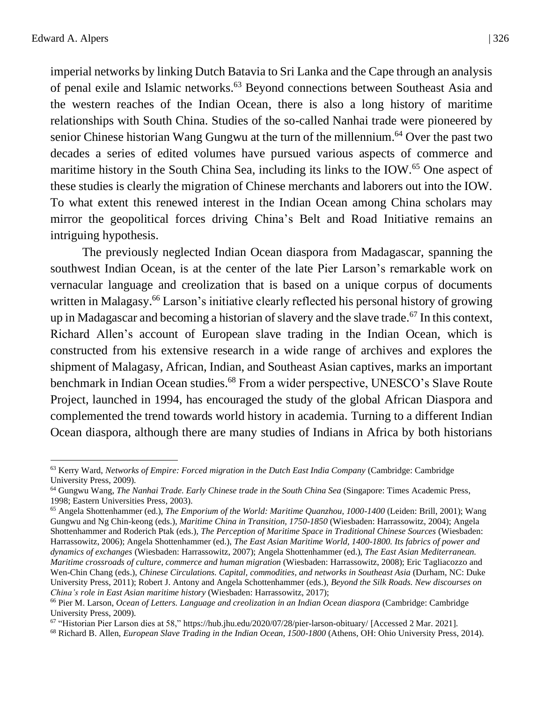imperial networks by linking Dutch Batavia to Sri Lanka and the Cape through an analysis of penal exile and Islamic networks.<sup>63</sup> Beyond connections between Southeast Asia and the western reaches of the Indian Ocean, there is also a long history of maritime relationships with South China. Studies of the so-called Nanhai trade were pioneered by senior Chinese historian Wang Gungwu at the turn of the millennium.<sup>64</sup> Over the past two decades a series of edited volumes have pursued various aspects of commerce and maritime history in the South China Sea, including its links to the IOW.<sup>65</sup> One aspect of these studies is clearly the migration of Chinese merchants and laborers out into the IOW. To what extent this renewed interest in the Indian Ocean among China scholars may mirror the geopolitical forces driving China's Belt and Road Initiative remains an intriguing hypothesis.

The previously neglected Indian Ocean diaspora from Madagascar, spanning the southwest Indian Ocean, is at the center of the late Pier Larson's remarkable work on vernacular language and creolization that is based on a unique corpus of documents written in Malagasy.<sup>66</sup> Larson's initiative clearly reflected his personal history of growing up in Madagascar and becoming a historian of slavery and the slave trade.<sup>67</sup> In this context, Richard Allen's account of European slave trading in the Indian Ocean, which is constructed from his extensive research in a wide range of archives and explores the shipment of Malagasy, African, Indian, and Southeast Asian captives, marks an important benchmark in Indian Ocean studies.<sup>68</sup> From a wider perspective, UNESCO's Slave Route Project, launched in 1994, has encouraged the study of the global African Diaspora and complemented the trend towards world history in academia. Turning to a different Indian Ocean diaspora, although there are many studies of Indians in Africa by both historians

<sup>63</sup> Kerry Ward, *Networks of Empire: Forced migration in the Dutch East India Company* (Cambridge: Cambridge University Press, 2009).

<sup>64</sup> Gungwu Wang, *The Nanhai Trade. Early Chinese trade in the South China Sea* (Singapore: Times Academic Press, 1998; Eastern Universities Press, 2003).

<sup>65</sup> Angela Shottenhammer (ed.), *The Emporium of the World: Maritime Quanzhou, 1000-1400* (Leiden: Brill, 2001); Wang Gungwu and Ng Chin-keong (eds.), *Maritime China in Transition, 1750-1850* (Wiesbaden: Harrassowitz, 2004); Angela Shottenhammer and Roderich Ptak (eds.), *The Perception of Maritime Space in Traditional Chinese Sources* (Wiesbaden: Harrassowitz, 2006); Angela Shottenhammer (ed.), *The East Asian Maritime World, 1400-1800. Its fabrics of power and dynamics of exchanges* (Wiesbaden: Harrassowitz, 2007); Angela Shottenhammer (ed.), *The East Asian Mediterranean. Maritime crossroads of culture, commerce and human migration* (Wiesbaden: Harrassowitz, 2008); Eric Tagliacozzo and Wen-Chin Chang (eds.), *Chinese Circulations. Capital, commodities, and networks in Southeast Asia* (Durham, NC: Duke University Press, 2011); Robert J. Antony and Angela Schottenhammer (eds.), *Beyond the Silk Roads. New discourses on China's role in East Asian maritime history* (Wiesbaden: Harrassowitz, 2017);

<sup>66</sup> Pier M. Larson, *Ocean of Letters. Language and creolization in an Indian Ocean diaspora* (Cambridge: Cambridge University Press, 2009).

<sup>67</sup> "Historian Pier Larson dies at 58,[" https://hub.jhu.edu/2020/07/28/pier-larson-obituary/](https://hub.jhu.edu/2020/07/28/pier-larson-obituary/) [Accessed 2 Mar. 2021].

<sup>68</sup> Richard B. Allen, *European Slave Trading in the Indian Ocean, 1500-1800* (Athens, OH: Ohio University Press, 2014).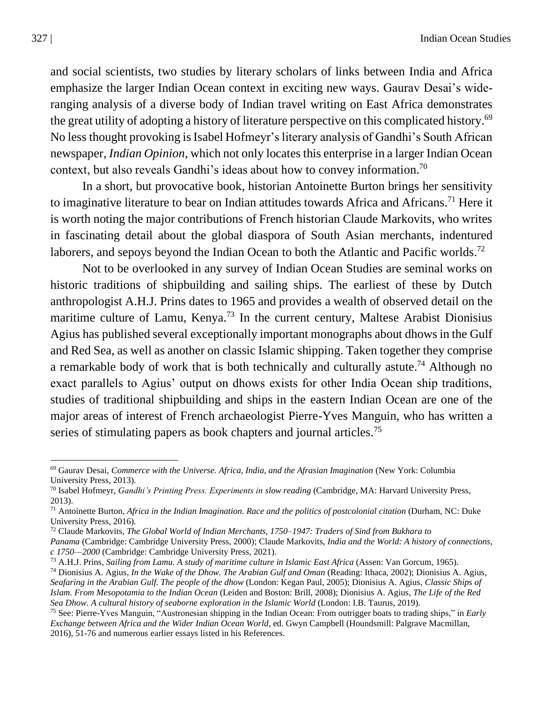and social scientists, two studies by literary scholars of links between India and Africa emphasize the larger Indian Ocean context in exciting new ways. Gaurav Desai's wideranging analysis of a diverse body of Indian travel writing on East Africa demonstrates the great utility of adopting a history of literature perspective on this complicated history.<sup>69</sup> No less thought provoking is Isabel Hofmeyr's literary analysis of Gandhi's South African newspaper, *Indian Opinion*, which not only locates this enterprise in a larger Indian Ocean context, but also reveals Gandhi's ideas about how to convey information.<sup>70</sup>

In a short, but provocative book, historian Antoinette Burton brings her sensitivity to imaginative literature to bear on Indian attitudes towards Africa and Africans.<sup>71</sup> Here it is worth noting the major contributions of French historian Claude Markovits, who writes in fascinating detail about the global diaspora of South Asian merchants, indentured laborers, and sepoys beyond the Indian Ocean to both the Atlantic and Pacific worlds.<sup>72</sup>

Not to be overlooked in any survey of Indian Ocean Studies are seminal works on historic traditions of shipbuilding and sailing ships. The earliest of these by Dutch anthropologist A.H.J. Prins dates to 1965 and provides a wealth of observed detail on the maritime culture of Lamu, Kenya.<sup>73</sup> In the current century, Maltese Arabist Dionisius Agius has published several exceptionally important monographs about dhows in the Gulf and Red Sea, as well as another on classic Islamic shipping. Taken together they comprise a remarkable body of work that is both technically and culturally astute.<sup>74</sup> Although no exact parallels to Agius' output on dhows exists for other India Ocean ship traditions, studies of traditional shipbuilding and ships in the eastern Indian Ocean are one of the major areas of interest of French archaeologist Pierre-Yves Manguin, who has written a series of stimulating papers as book chapters and journal articles.<sup>75</sup>

<sup>69</sup> Gaurav Desai, *Commerce with the Universe. Africa, India, and the Afrasian Imagination* (New York: Columbia University Press, 2013).

<sup>70</sup> Isabel Hofmeyr, *Gandhi's Printing Press. Experiments in slow reading* (Cambridge, MA: Harvard University Press, 2013).

<sup>71</sup> Antoinette Burton, *Africa in the Indian Imagination. Race and the politics of postcolonial citation* (Durham, NC: Duke University Press, 2016).

<sup>72</sup> Claude Markovits, *The Global World of Indian Merchants, 1750–1947: Traders of Sind from Bukhara to* 

*Panama* (Cambridge: Cambridge University Press, 2000); Claude Markovits, *India and the World: A history of connections, c 1750—2000* (Cambridge: Cambridge University Press, 2021).

<sup>73</sup> A.H.J. Prins, *Sailing from Lamu. A study of maritime culture in Islamic East Africa* (Assen: Van Gorcum, 1965).

<sup>74</sup> Dionisius A. Agius, *In the Wake of the Dhow. The Arabian Gulf and Oman* (Reading: Ithaca, 2002); Dionisius A. Agius, *Seafaring in the Arabian Gulf. The people of the dhow* (London: Kegan Paul, 2005); Dionisius A. Agius, *Classic Ships of Islam. From Mesopotamia to the Indian Ocean* (Leiden and Boston: Brill, 2008); Dionisius A. Agius, *The Life of the Red Sea Dhow. A cultural history of seaborne exploration in the Islamic World* (London: I.B. Taurus, 2019).

<sup>75</sup> See: Pierre-Yves Manguin, "Austronesian shipping in the Indian Ocean: From outrigger boats to trading ships," in *Early Exchange between Africa and the Wider Indian Ocean World*, ed. Gwyn Campbell (Houndsmill: Palgrave Macmillan, 2016), 51-76 and numerous earlier essays listed in his References.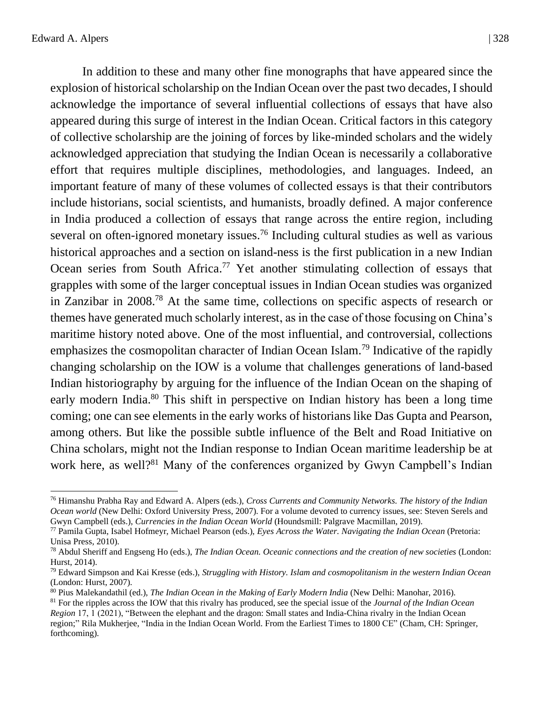In addition to these and many other fine monographs that have appeared since the explosion of historical scholarship on the Indian Ocean over the past two decades, I should acknowledge the importance of several influential collections of essays that have also appeared during this surge of interest in the Indian Ocean. Critical factors in this category of collective scholarship are the joining of forces by like-minded scholars and the widely acknowledged appreciation that studying the Indian Ocean is necessarily a collaborative effort that requires multiple disciplines, methodologies, and languages. Indeed, an important feature of many of these volumes of collected essays is that their contributors include historians, social scientists, and humanists, broadly defined. A major conference in India produced a collection of essays that range across the entire region, including several on often-ignored monetary issues.<sup>76</sup> Including cultural studies as well as various historical approaches and a section on island-ness is the first publication in a new Indian Ocean series from South Africa.<sup>77</sup> Yet another stimulating collection of essays that grapples with some of the larger conceptual issues in Indian Ocean studies was organized in Zanzibar in 2008.<sup>78</sup> At the same time, collections on specific aspects of research or themes have generated much scholarly interest, as in the case of those focusing on China's maritime history noted above. One of the most influential, and controversial, collections emphasizes the cosmopolitan character of Indian Ocean Islam.<sup>79</sup> Indicative of the rapidly changing scholarship on the IOW is a volume that challenges generations of land-based Indian historiography by arguing for the influence of the Indian Ocean on the shaping of early modern India.<sup>80</sup> This shift in perspective on Indian history has been a long time coming; one can see elements in the early works of historians like Das Gupta and Pearson, among others. But like the possible subtle influence of the Belt and Road Initiative on China scholars, might not the Indian response to Indian Ocean maritime leadership be at work here, as well?<sup>81</sup> Many of the conferences organized by Gwyn Campbell's Indian

<sup>76</sup> Himanshu Prabha Ray and Edward A. Alpers (eds.), *Cross Currents and Community Networks. The history of the Indian Ocean world* (New Delhi: Oxford University Press, 2007). For a volume devoted to currency issues, see: Steven Serels and Gwyn Campbell (eds.), *Currencies in the Indian Ocean World* (Houndsmill: Palgrave Macmillan, 2019).

<sup>77</sup> Pamila Gupta, Isabel Hofmeyr, Michael Pearson (eds.), *Eyes Across the Water. Navigating the Indian Ocean* (Pretoria: Unisa Press, 2010).

<sup>78</sup> Abdul Sheriff and Engseng Ho (eds.), *The Indian Ocean. Oceanic connections and the creation of new societies* (London: Hurst, 2014).

<sup>79</sup> Edward Simpson and Kai Kresse (eds.), *Struggling with History. Islam and cosmopolitanism in the western Indian Ocean* (London: Hurst, 2007).

<sup>80</sup> Pius Malekandathil (ed.), *The Indian Ocean in the Making of Early Modern India* (New Delhi: Manohar, 2016).

<sup>81</sup> For the ripples across the IOW that this rivalry has produced, see the special issue of the *Journal of the Indian Ocean Region* 17, 1 (2021), "Between the elephant and the dragon: Small states and India-China rivalry in the Indian Ocean region;" Rila Mukherjee, "India in the Indian Ocean World. From the Earliest Times to 1800 CE" (Cham, CH: Springer, forthcoming).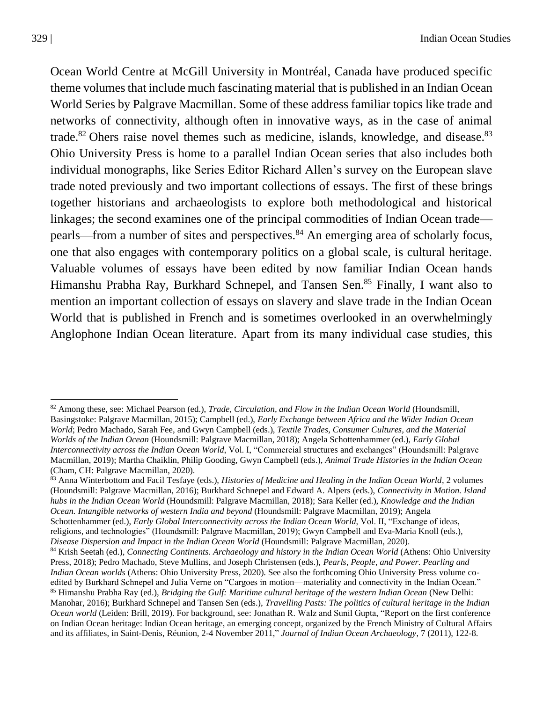Ocean World Centre at McGill University in Montréal, Canada have produced specific theme volumes that include much fascinating material that is published in an Indian Ocean World Series by Palgrave Macmillan. Some of these address familiar topics like trade and networks of connectivity, although often in innovative ways, as in the case of animal trade.<sup>82</sup> Ohers raise novel themes such as medicine, islands, knowledge, and disease.<sup>83</sup> Ohio University Press is home to a parallel Indian Ocean series that also includes both individual monographs, like Series Editor Richard Allen's survey on the European slave trade noted previously and two important collections of essays. The first of these brings together historians and archaeologists to explore both methodological and historical linkages; the second examines one of the principal commodities of Indian Ocean trade pearls—from a number of sites and perspectives.<sup>84</sup> An emerging area of scholarly focus, one that also engages with contemporary politics on a global scale, is cultural heritage. Valuable volumes of essays have been edited by now familiar Indian Ocean hands Himanshu Prabha Ray, Burkhard Schnepel, and Tansen Sen.<sup>85</sup> Finally, I want also to mention an important collection of essays on slavery and slave trade in the Indian Ocean World that is published in French and is sometimes overlooked in an overwhelmingly Anglophone Indian Ocean literature. Apart from its many individual case studies, this

<sup>82</sup> Among these, see: Michael Pearson (ed.), *Trade, Circulation, and Flow in the Indian Ocean World* (Houndsmill, Basingstoke: Palgrave Macmillan, 2015); Campbell (ed.), *Early Exchange between Africa and the Wider Indian Ocean World*; Pedro Machado, Sarah Fee, and Gwyn Campbell (eds.), *Textile Trades, Consumer Cultures, and the Material Worlds of the Indian Ocean* (Houndsmill: Palgrave Macmillan, 2018); Angela Schottenhammer (ed.), *Early Global Interconnectivity across the Indian Ocean World*, Vol. I, "Commercial structures and exchanges" (Houndsmill: Palgrave Macmillan, 2019); Martha Chaiklin, Philip Gooding, Gwyn Campbell (eds.), *Animal Trade Histories in the Indian Ocean* (Cham, CH: Palgrave Macmillan, 2020).

<sup>83</sup> Anna Winterbottom and Facil Tesfaye (eds.), *Histories of Medicine and Healing in the Indian Ocean World*, 2 volumes (Houndsmill: Palgrave Macmillan, 2016); Burkhard Schnepel and Edward A. Alpers (eds.), *Connectivity in Motion. Island hubs in the Indian Ocean World* (Houndsmill: Palgrave Macmillan, 2018); Sara Keller (ed.), *Knowledge and the Indian Ocean. Intangible networks of western India and beyond* (Houndsmill: Palgrave Macmillan, 2019); Angela Schottenhammer (ed.), *Early Global Interconnectivity across the Indian Ocean World*, Vol. II, "Exchange of ideas, religions, and technologies" (Houndsmill: Palgrave Macmillan, 2019); Gwyn Campbell and Eva-Maria Knoll (eds.), *Disease Dispersion and Impact in the Indian Ocean World* (Houndsmill: Palgrave Macmillan, 2020).

<sup>84</sup> Krish Seetah (ed.), *Connecting Continents. Archaeology and history in the Indian Ocean World* (Athens: Ohio University Press, 2018); Pedro Machado, Steve Mullins, and Joseph Christensen (eds.), *Pearls, People, and Power. Pearling and Indian Ocean worlds* (Athens: Ohio University Press, 2020). See also the forthcoming Ohio University Press volume coedited by Burkhard Schnepel and Julia Verne on "Cargoes in motion—materiality and connectivity in the Indian Ocean."

<sup>85</sup> Himanshu Prabha Ray (ed.), *Bridging the Gulf: Maritime cultural heritage of the western Indian Ocean* (New Delhi: Manohar, 2016); Burkhard Schnepel and Tansen Sen (eds.), *Travelling Pasts: The politics of cultural heritage in the Indian Ocean world* (Leiden: Brill, 2019). For background, see: Jonathan R. Walz and Sunil Gupta, "Report on the first conference on Indian Ocean heritage: Indian Ocean heritage, an emerging concept, organized by the French Ministry of Cultural Affairs and its affiliates, in Saint-Denis, Réunion, 2-4 November 2011," *Journal of Indian Ocean Archaeology*, 7 (2011), 122-8.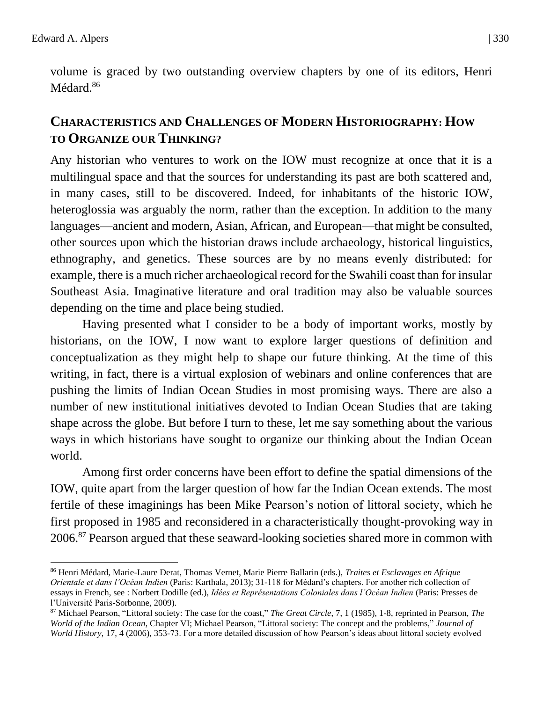volume is graced by two outstanding overview chapters by one of its editors, Henri Médard.<sup>86</sup>

## **CHARACTERISTICS AND CHALLENGES OF MODERN HISTORIOGRAPHY: HOW TO ORGANIZE OUR THINKING?**

Any historian who ventures to work on the IOW must recognize at once that it is a multilingual space and that the sources for understanding its past are both scattered and, in many cases, still to be discovered. Indeed, for inhabitants of the historic IOW, heteroglossia was arguably the norm, rather than the exception. In addition to the many languages—ancient and modern, Asian, African, and European—that might be consulted, other sources upon which the historian draws include archaeology, historical linguistics, ethnography, and genetics. These sources are by no means evenly distributed: for example, there is a much richer archaeological record for the Swahili coast than for insular Southeast Asia. Imaginative literature and oral tradition may also be valuable sources depending on the time and place being studied.

Having presented what I consider to be a body of important works, mostly by historians, on the IOW, I now want to explore larger questions of definition and conceptualization as they might help to shape our future thinking. At the time of this writing, in fact, there is a virtual explosion of webinars and online conferences that are pushing the limits of Indian Ocean Studies in most promising ways. There are also a number of new institutional initiatives devoted to Indian Ocean Studies that are taking shape across the globe. But before I turn to these, let me say something about the various ways in which historians have sought to organize our thinking about the Indian Ocean world.

Among first order concerns have been effort to define the spatial dimensions of the IOW, quite apart from the larger question of how far the Indian Ocean extends. The most fertile of these imaginings has been Mike Pearson's notion of littoral society, which he first proposed in 1985 and reconsidered in a characteristically thought-provoking way in 2006.<sup>87</sup> Pearson argued that these seaward-looking societies shared more in common with

<sup>86</sup> Henri Médard, Marie-Laure Derat, Thomas Vernet, Marie Pierre Ballarin (eds.), *Traites et Esclavages en Afrique Orientale et dans l'Océan Indien* (Paris: Karthala, 2013); 31-118 for Médard's chapters. For another rich collection of essays in French, see : Norbert Dodille (ed.), *Idées et Représentations Coloniales dans l'Océan Indien* (Paris: Presses de l'Université Paris-Sorbonne, 2009).

<sup>87</sup> Michael Pearson, "Littoral society: The case for the coast," *The Great Circle*, 7, 1 (1985), 1-8, reprinted in Pearson, *The World of the Indian Ocean*, Chapter VI; Michael Pearson, "Littoral society: The concept and the problems," *Journal of World History*, 17, 4 (2006), 353-73. For a more detailed discussion of how Pearson's ideas about littoral society evolved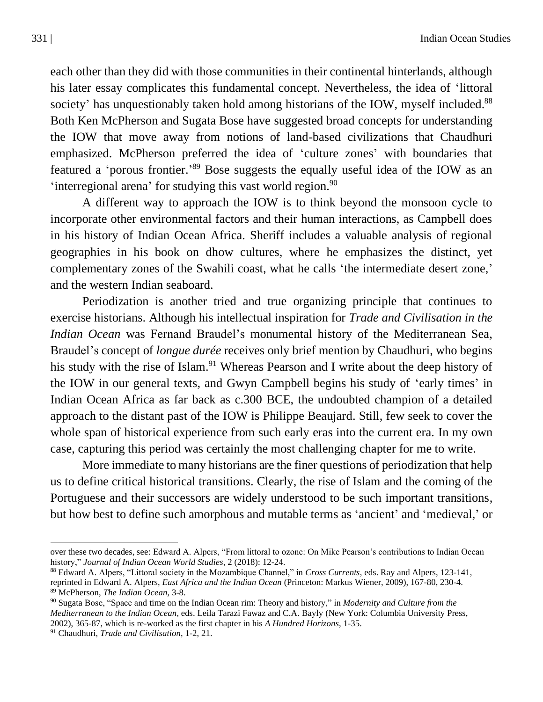each other than they did with those communities in their continental hinterlands, although his later essay complicates this fundamental concept. Nevertheless, the idea of 'littoral society' has unquestionably taken hold among historians of the IOW, myself included.<sup>88</sup> Both Ken McPherson and Sugata Bose have suggested broad concepts for understanding the IOW that move away from notions of land-based civilizations that Chaudhuri emphasized. McPherson preferred the idea of 'culture zones' with boundaries that featured a 'porous frontier.'<sup>89</sup> Bose suggests the equally useful idea of the IOW as an 'interregional arena' for studying this vast world region.<sup>90</sup>

A different way to approach the IOW is to think beyond the monsoon cycle to incorporate other environmental factors and their human interactions, as Campbell does in his history of Indian Ocean Africa. Sheriff includes a valuable analysis of regional geographies in his book on dhow cultures, where he emphasizes the distinct, yet complementary zones of the Swahili coast, what he calls 'the intermediate desert zone,' and the western Indian seaboard.

Periodization is another tried and true organizing principle that continues to exercise historians. Although his intellectual inspiration for *Trade and Civilisation in the Indian Ocean* was Fernand Braudel's monumental history of the Mediterranean Sea, Braudel's concept of *longue durée* receives only brief mention by Chaudhuri, who begins his study with the rise of Islam.<sup>91</sup> Whereas Pearson and I write about the deep history of the IOW in our general texts, and Gwyn Campbell begins his study of 'early times' in Indian Ocean Africa as far back as c.300 BCE, the undoubted champion of a detailed approach to the distant past of the IOW is Philippe Beaujard. Still, few seek to cover the whole span of historical experience from such early eras into the current era. In my own case, capturing this period was certainly the most challenging chapter for me to write.

More immediate to many historians are the finer questions of periodization that help us to define critical historical transitions. Clearly, the rise of Islam and the coming of the Portuguese and their successors are widely understood to be such important transitions, but how best to define such amorphous and mutable terms as 'ancient' and 'medieval,' or

over these two decades, see: Edward A. Alpers, "From littoral to ozone: On Mike Pearson's contributions to Indian Ocean history," *Journal of Indian Ocean World Studies*, 2 (2018): 12-24.

<sup>88</sup> Edward A. Alpers, "Littoral society in the Mozambique Channel," in *Cross Currents*, eds. Ray and Alpers, 123-141, reprinted in Edward A. Alpers, *East Africa and the Indian Ocean* (Princeton: Markus Wiener, 2009), 167-80, 230-4. <sup>89</sup> McPherson, *The Indian Ocean*, 3-8.

<sup>90</sup> Sugata Bose, "Space and time on the Indian Ocean rim: Theory and history," in *Modernity and Culture from the Mediterranean to the Indian Ocean*, eds. Leila Tarazi Fawaz and C.A. Bayly (New York: Columbia University Press, 2002), 365-87, which is re-worked as the first chapter in his *A Hundred Horizons*, 1-35.

<sup>91</sup> Chaudhuri, *Trade and Civilisation*, 1-2, 21.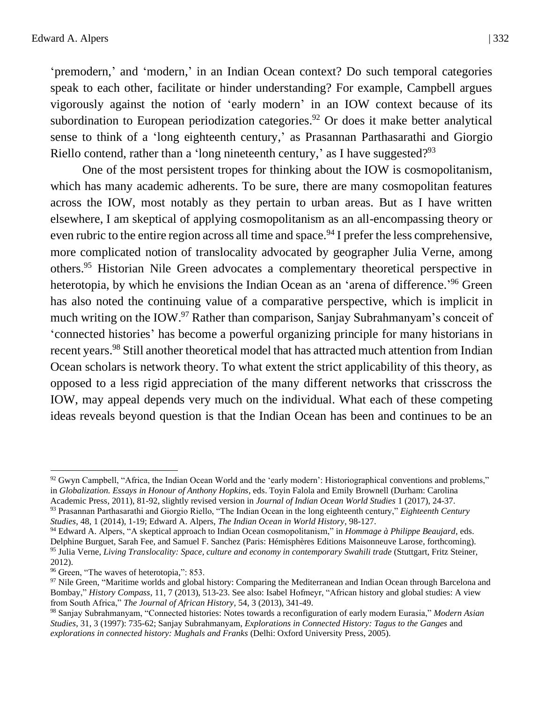'premodern,' and 'modern,' in an Indian Ocean context? Do such temporal categories

speak to each other, facilitate or hinder understanding? For example, Campbell argues vigorously against the notion of 'early modern' in an IOW context because of its subordination to European periodization categories.<sup>92</sup> Or does it make better analytical sense to think of a 'long eighteenth century,' as Prasannan Parthasarathi and Giorgio Riello contend, rather than a 'long nineteenth century,' as I have suggested?<sup>93</sup>

One of the most persistent tropes for thinking about the IOW is cosmopolitanism, which has many academic adherents. To be sure, there are many cosmopolitan features across the IOW, most notably as they pertain to urban areas. But as I have written elsewhere, I am skeptical of applying cosmopolitanism as an all-encompassing theory or even rubric to the entire region across all time and space.<sup>94</sup> I prefer the less comprehensive, more complicated notion of translocality advocated by geographer Julia Verne, among others.<sup>95</sup> Historian Nile Green advocates a complementary theoretical perspective in heterotopia, by which he envisions the Indian Ocean as an 'arena of difference.'<sup>96</sup> Green has also noted the continuing value of a comparative perspective, which is implicit in much writing on the IOW.<sup>97</sup> Rather than comparison, Sanjay Subrahmanyam's conceit of 'connected histories' has become a powerful organizing principle for many historians in recent years.<sup>98</sup> Still another theoretical model that has attracted much attention from Indian Ocean scholars is network theory. To what extent the strict applicability of this theory, as opposed to a less rigid appreciation of the many different networks that crisscross the IOW, may appeal depends very much on the individual. What each of these competing ideas reveals beyond question is that the Indian Ocean has been and continues to be an

 $92$  Gwyn Campbell, "Africa, the Indian Ocean World and the 'early modern': Historiographical conventions and problems," in *Globalization. Essays in Honour of Anthony Hopkins*, eds. Toyin Falola and Emily Brownell (Durham: Carolina Academic Press, 2011), 81-92, slightly revised version in *Journal of Indian Ocean World Studies* 1 (2017), 24-37.

<sup>93</sup> Prasannan Parthasarathi and Giorgio Riello, "The Indian Ocean in the long eighteenth century," *Eighteenth Century Studies*, 48, 1 (2014), 1-19; Edward A. Alpers, *The Indian Ocean in World History*, 98-127.

<sup>94</sup> Edward A. Alpers, "A skeptical approach to Indian Ocean cosmopolitanism," in *Hommage à Philippe Beaujard*, eds. Delphine Burguet, Sarah Fee, and Samuel F. Sanchez (Paris: Hémisphères Editions Maisonneuve Larose, forthcoming). <sup>95</sup> Julia Verne, *Living Translocality: Space, culture and economy in contemporary Swahili trade* (Stuttgart, Fritz Steiner, 2012).

<sup>&</sup>lt;sup>96</sup> Green, "The waves of heterotopia,": 853.

 $97$  Nile Green, "Maritime worlds and global history: Comparing the Mediterranean and Indian Ocean through Barcelona and Bombay," *History Compass*, 11, 7 (2013), 513-23. See also: Isabel Hofmeyr, "African history and global studies: A view from South Africa," *The Journal of African History*, 54, 3 (2013), 341-49.

<sup>98</sup> Sanjay Subrahmanyam, "Connected histories: Notes towards a reconfiguration of early modern Eurasia," *Modern Asian Studies*, 31, 3 (1997): 735-62; Sanjay Subrahmanyam, *Explorations in Connected History: Tagus to the Ganges* and *explorations in connected history: Mughals and Franks* (Delhi: Oxford University Press, 2005).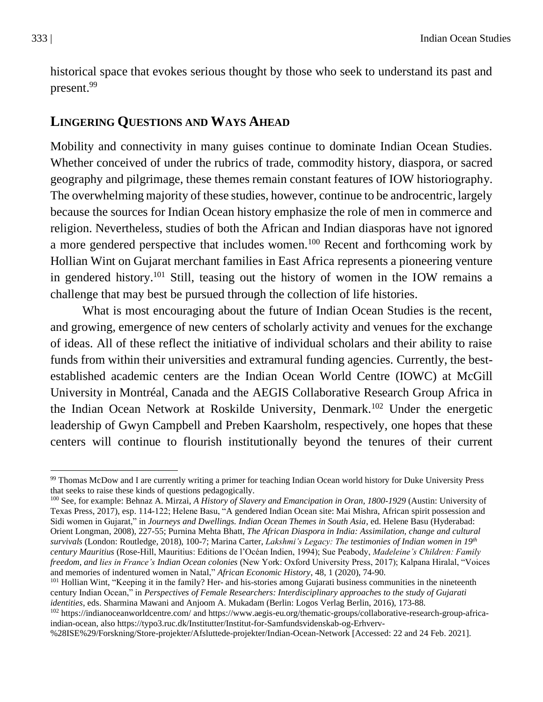historical space that evokes serious thought by those who seek to understand its past and present.<sup>99</sup>

#### **LINGERING QUESTIONS AND WAYS AHEAD**

Mobility and connectivity in many guises continue to dominate Indian Ocean Studies. Whether conceived of under the rubrics of trade, commodity history, diaspora, or sacred geography and pilgrimage, these themes remain constant features of IOW historiography. The overwhelming majority of these studies, however, continue to be androcentric, largely because the sources for Indian Ocean history emphasize the role of men in commerce and religion. Nevertheless, studies of both the African and Indian diasporas have not ignored a more gendered perspective that includes women.<sup>100</sup> Recent and forthcoming work by Hollian Wint on Gujarat merchant families in East Africa represents a pioneering venture in gendered history.<sup>101</sup> Still, teasing out the history of women in the IOW remains a challenge that may best be pursued through the collection of life histories.

What is most encouraging about the future of Indian Ocean Studies is the recent, and growing, emergence of new centers of scholarly activity and venues for the exchange of ideas. All of these reflect the initiative of individual scholars and their ability to raise funds from within their universities and extramural funding agencies. Currently, the bestestablished academic centers are the Indian Ocean World Centre (IOWC) at McGill University in Montréal, Canada and the AEGIS Collaborative Research Group Africa in the Indian Ocean Network at Roskilde University, Denmark.<sup>102</sup> Under the energetic leadership of Gwyn Campbell and Preben Kaarsholm, respectively, one hopes that these centers will continue to flourish institutionally beyond the tenures of their current

<sup>99</sup> Thomas McDow and I are currently writing a primer for teaching Indian Ocean world history for Duke University Press that seeks to raise these kinds of questions pedagogically.

<sup>100</sup> See, for example: Behnaz A. Mirzai, *A History of Slavery and Emancipation in Oran, 1800-1929* (Austin: University of Texas Press, 2017), esp. 114-122; Helene Basu, "A gendered Indian Ocean site: Mai Mishra, African spirit possession and Sidi women in Gujarat," in *Journeys and Dwellings. Indian Ocean Themes in South Asia*, ed. Helene Basu (Hyderabad: Orient Longman, 2008), 227-55; Purnina Mehta Bhatt, *The African Diaspora in India: Assimilation, change and cultural survivals* (London: Routledge, 2018), 100-7; Marina Carter, *Lakshmi's Legacy: The testimonies of Indian women in 19th century Mauritius* (Rose-Hill, Mauritius: Editions de l'Océan Indien, 1994); Sue Peabody, *Madeleine's Children: Family freedom, and lies in France's Indian Ocean colonies* (New York: Oxford University Press, 2017); Kalpana Hiralal, "Voices and memories of indentured women in Natal," *African Economic History*, 48, 1 (2020), 74-90.

<sup>101</sup> Hollian Wint, "Keeping it in the family? Her- and his-stories among Gujarati business communities in the nineteenth century Indian Ocean," in *Perspectives of Female Researchers: Interdisciplinary approaches to the study of Gujarati identities*, eds. Sharmina Mawani and Anjoom A. Mukadam (Berlin: Logos Verlag Berlin, 2016), 173-88.

<sup>102</sup> <https://indianoceanworldcentre.com/> an[d https://www.aegis-eu.org/thematic-groups/collaborative-research-group-africa](https://www.aegis-eu.org/thematic-groups/collaborative-research-group-africa-indian-ocean)[indian-ocean,](https://www.aegis-eu.org/thematic-groups/collaborative-research-group-africa-indian-ocean) also [https://typo3.ruc.dk/Institutter/Institut-for-Samfundsvidenskab-og-Erhverv-](https://typo3.ruc.dk/Institutter/Institut-for-Samfundsvidenskab-og-Erhverv-%28ISE%29/Forskning/Store-projekter/Afsluttede-projekter/Indian-Ocean-Network)

[<sup>%28</sup>ISE%29/Forskning/Store-projekter/Afsluttede-projekter/Indian-Ocean-Network](https://typo3.ruc.dk/Institutter/Institut-for-Samfundsvidenskab-og-Erhverv-%28ISE%29/Forskning/Store-projekter/Afsluttede-projekter/Indian-Ocean-Network) [Accessed: 22 and 24 Feb. 2021].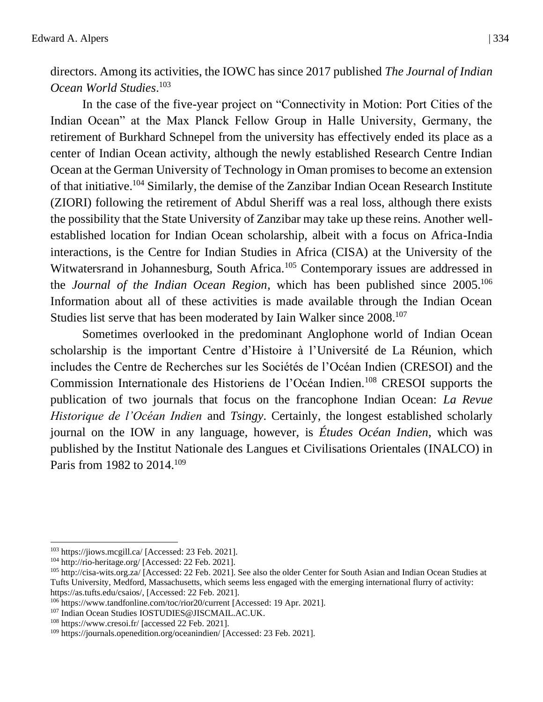directors. Among its activities, the IOWC has since 2017 published *The Journal of Indian Ocean World Studies*. 103

In the case of the five-year project on "Connectivity in Motion: Port Cities of the Indian Ocean" at the Max Planck Fellow Group in Halle University, Germany, the retirement of Burkhard Schnepel from the university has effectively ended its place as a center of Indian Ocean activity, although the newly established Research Centre Indian Ocean at the German University of Technology in Oman promises to become an extension of that initiative.<sup>104</sup> Similarly, the demise of the Zanzibar Indian Ocean Research Institute (ZIORI) following the retirement of Abdul Sheriff was a real loss, although there exists the possibility that the State University of Zanzibar may take up these reins. Another wellestablished location for Indian Ocean scholarship, albeit with a focus on Africa-India interactions, is the Centre for Indian Studies in Africa (CISA) at the University of the Witwatersrand in Johannesburg, South Africa.<sup>105</sup> Contemporary issues are addressed in the *Journal of the Indian Ocean Region*, which has been published since 2005.<sup>106</sup> Information about all of these activities is made available through the Indian Ocean Studies list serve that has been moderated by Iain Walker since 2008.<sup>107</sup>

Sometimes overlooked in the predominant Anglophone world of Indian Ocean scholarship is the important Centre d'Histoire à l'Université de La Réunion, which includes the Centre de Recherches sur les Sociétés de l'Océan Indien (CRESOI) and the Commission Internationale des Historiens de l'Océan Indien.<sup>108</sup> CRESOI supports the publication of two journals that focus on the francophone Indian Ocean: *La Revue Historique de l'Océan Indien* and *Tsingy*. Certainly, the longest established scholarly journal on the IOW in any language, however, is *Études Océan Indien*, which was published by the Institut Nationale des Langues et Civilisations Orientales (INALCO) in Paris from 1982 to 2014.<sup>109</sup>

<sup>103</sup> <https://jiows.mcgill.ca/> [Accessed: 23 Feb. 2021].

<sup>104</sup> <http://rio-heritage.org/> [Accessed: 22 Feb. 2021].

<sup>&</sup>lt;sup>105</sup> <http://cisa-wits.org.za/> [Accessed: 22 Feb. 2021]. See also the older Center for South Asian and Indian Ocean Studies at Tufts University, Medford, Massachusetts, which seems less engaged with the emerging international flurry of activity: [https://as.tufts.edu/csaios/,](https://as.tufts.edu/csaios/) [Accessed: 22 Feb. 2021].

<sup>106</sup> <https://www.tandfonline.com/toc/rior20/current> [Accessed: 19 Apr. 2021].

<sup>107</sup> Indian Ocean Studies [IOSTUDIES@JISCMAIL.AC.UK.](mailto:IOSTUDIES@JISCMAIL.AC.UK)

<sup>108</sup> <https://www.cresoi.fr/> [accessed 22 Feb. 2021].

<sup>109</sup> <https://journals.openedition.org/oceanindien/> [Accessed: 23 Feb. 2021].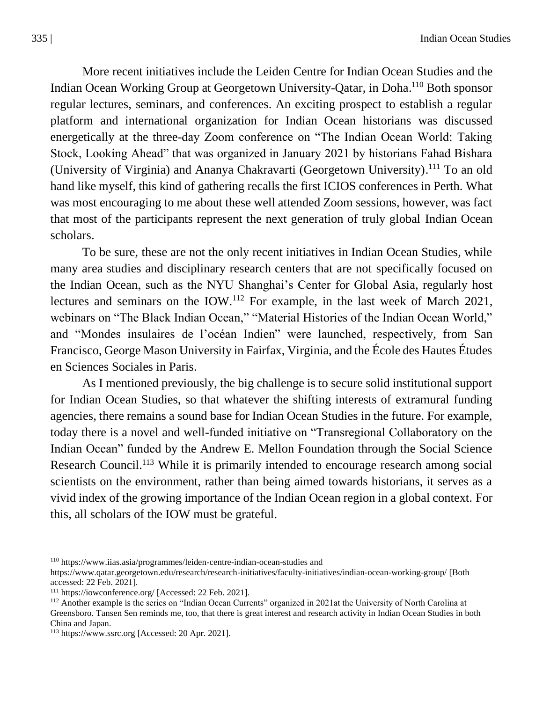More recent initiatives include the Leiden Centre for Indian Ocean Studies and the Indian Ocean Working Group at Georgetown University-Qatar, in Doha.<sup>110</sup> Both sponsor regular lectures, seminars, and conferences. An exciting prospect to establish a regular platform and international organization for Indian Ocean historians was discussed energetically at the three-day Zoom conference on "The Indian Ocean World: Taking Stock, Looking Ahead" that was organized in January 2021 by historians Fahad Bishara (University of Virginia) and Ananya Chakravarti (Georgetown University).<sup>111</sup> To an old hand like myself, this kind of gathering recalls the first ICIOS conferences in Perth. What was most encouraging to me about these well attended Zoom sessions, however, was fact that most of the participants represent the next generation of truly global Indian Ocean scholars.

To be sure, these are not the only recent initiatives in Indian Ocean Studies, while many area studies and disciplinary research centers that are not specifically focused on the Indian Ocean, such as the NYU Shanghai's Center for Global Asia, regularly host lectures and seminars on the IOW.<sup>112</sup> For example, in the last week of March 2021, webinars on "The Black Indian Ocean," "Material Histories of the Indian Ocean World," and "Mondes insulaires de l'océan Indien" were launched, respectively, from San Francisco, George Mason University in Fairfax, Virginia, and the École des Hautes Études en Sciences Sociales in Paris.

As I mentioned previously, the big challenge is to secure solid institutional support for Indian Ocean Studies, so that whatever the shifting interests of extramural funding agencies, there remains a sound base for Indian Ocean Studies in the future. For example, today there is a novel and well-funded initiative on "Transregional Collaboratory on the Indian Ocean" funded by the Andrew E. Mellon Foundation through the Social Science Research Council.<sup>113</sup> While it is primarily intended to encourage research among social scientists on the environment, rather than being aimed towards historians, it serves as a vivid index of the growing importance of the Indian Ocean region in a global context. For this, all scholars of the IOW must be grateful.

<sup>110</sup> <https://www.iias.asia/programmes/leiden-centre-indian-ocean-studies> and

<https://www.qatar.georgetown.edu/research/research-initiatives/faculty-initiatives/indian-ocean-working-group/> [Both accessed: 22 Feb. 2021].

<sup>111</sup> <https://iowconference.org/> [Accessed: 22 Feb. 2021].

<sup>&</sup>lt;sup>112</sup> Another example is the series on "Indian Ocean Currents" organized in 2021at the University of North Carolina at Greensboro. Tansen Sen reminds me, too, that there is great interest and research activity in Indian Ocean Studies in both China and Japan.

<sup>113</sup> [https://www.ssrc.org](https://www.ssrc.org/) [Accessed: 20 Apr. 2021].